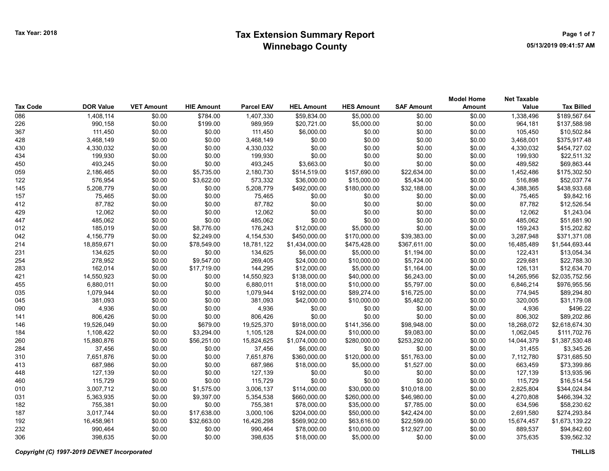|                 |                  |                   |                   |                   |                   |                   |                   | <b>Model Home</b> | <b>Net Taxable</b> |                   |
|-----------------|------------------|-------------------|-------------------|-------------------|-------------------|-------------------|-------------------|-------------------|--------------------|-------------------|
| <b>Tax Code</b> | <b>DOR Value</b> | <b>VET Amount</b> | <b>HIE Amount</b> | <b>Parcel EAV</b> | <b>HEL Amount</b> | <b>HES Amount</b> | <b>SAF Amount</b> | Amount            | Value              | <b>Tax Billed</b> |
| 086             | 1,408,114        | \$0.00            | \$784.00          | 1,407,330         | \$59,834.00       | \$5,000.00        | \$0.00            | \$0.00            | 1,338,496          | \$189,567.64      |
| 226             | 990,158          | \$0.00            | \$199.00          | 989,959           | \$20,721.00       | \$5,000.00        | \$0.00            | \$0.00            | 964,181            | \$137,588.98      |
| 367             | 111,450          | \$0.00            | \$0.00            | 111,450           | \$6,000.00        | \$0.00            | \$0.00            | \$0.00            | 105,450            | \$10,502.84       |
| 428             | 3,468,149        | \$0.00            | \$0.00            | 3,468,149         | \$0.00            | \$0.00            | \$0.00            | \$0.00            | 3,468,001          | \$375,917.48      |
| 430             | 4,330,032        | \$0.00            | \$0.00            | 4,330,032         | \$0.00            | \$0.00            | \$0.00            | \$0.00            | 4,330,032          | \$454,727.02      |
| 434             | 199,930          | \$0.00            | \$0.00            | 199,930           | \$0.00            | \$0.00            | \$0.00            | \$0.00            | 199,930            | \$22,511.32       |
| 450             | 493,245          | \$0.00            | \$0.00            | 493,245           | \$3,663.00        | \$0.00            | \$0.00            | \$0.00            | 489,582            | \$69,863.44       |
| 059             | 2,186,465        | \$0.00            | \$5,735.00        | 2,180,730         | \$514,519.00      | \$157,690.00      | \$22,634.00       | \$0.00            | 1,452,486          | \$175,302.50      |
| 122             | 576,954          | \$0.00            | \$3,622.00        | 573,332           | \$36,000.00       | \$15,000.00       | \$5,434.00        | \$0.00            | 516,898            | \$52,037.74       |
| 145             | 5,208,779        | \$0.00            | \$0.00            | 5,208,779         | \$492,000.00      | \$180,000.00      | \$32,188.00       | \$0.00            | 4,388,365          | \$438,933.68      |
| 157             | 75,465           | \$0.00            | \$0.00            | 75,465            | \$0.00            | \$0.00            | \$0.00            | \$0.00            | 75,465             | \$9,842.16        |
| 412             | 87,782           | \$0.00            | \$0.00            | 87,782            | \$0.00            | \$0.00            | \$0.00            | \$0.00            | 87,782             | \$12,526.54       |
| 429             | 12,062           | \$0.00            | \$0.00            | 12,062            | \$0.00            | \$0.00            | \$0.00            | \$0.00            | 12,062             | \$1,243.04        |
| 447             | 485,062          | \$0.00            | \$0.00            | 485,062           | \$0.00            | \$0.00            | \$0.00            | \$0.00            | 485,062            | \$51,681.90       |
| 012             | 185,019          | \$0.00            | \$8,776.00        | 176,243           | \$12,000.00       | \$5,000.00        | \$0.00            | \$0.00            | 159,243            | \$15,202.82       |
| 042             | 4,156,779        | \$0.00            | \$2,249.00        | 4,154,530         | \$450,000.00      | \$170,000.00      | \$39,383.00       | \$0.00            | 3,287,948          | \$371,371.08      |
| 214             | 18,859,671       | \$0.00            | \$78,549.00       | 18,781,122        | \$1,434,000.00    | \$475,428.00      | \$367,611.00      | \$0.00            | 16,485,489         | \$1,544,693.44    |
| 231             | 134,625          | \$0.00            | \$0.00            | 134,625           | \$6,000.00        | \$5,000.00        | \$1,194.00        | \$0.00            | 122,431            | \$13,054.34       |
| 254             | 278,952          | \$0.00            | \$9,547.00        | 269,405           | \$24,000.00       | \$10,000.00       | \$5,724.00        | \$0.00            | 229,681            | \$22,788.30       |
| 283             | 162,014          | \$0.00            | \$17,719.00       | 144,295           | \$12,000.00       | \$5,000.00        | \$1,164.00        | \$0.00            | 126,131            | \$12,634.70       |
| 421             | 14,550,923       | \$0.00            | \$0.00            | 14,550,923        | \$138,000.00      | \$40,000.00       | \$6,243.00        | \$0.00            | 14,265,956         | \$2,035,752.56    |
| 455             | 6,880,011        | \$0.00            | \$0.00            | 6,880,011         | \$18,000.00       | \$10,000.00       | \$5,797.00        | \$0.00            | 6,846,214          | \$976,955.56      |
| 035             | 1,079,944        | \$0.00            | \$0.00            | 1,079,944         | \$192,000.00      | \$89,274.00       | \$16,725.00       | \$0.00            | 774,945            | \$89,294.80       |
| 045             | 381,093          | \$0.00            | \$0.00            | 381,093           | \$42,000.00       | \$10,000.00       | \$5,482.00        | \$0.00            | 320,005            | \$31,179.08       |
| 090             | 4,936            | \$0.00            | \$0.00            | 4,936             | \$0.00            | \$0.00            | \$0.00            | \$0.00            | 4,936              | \$496.22          |
| 141             | 806,426          | \$0.00            | \$0.00            | 806,426           | \$0.00            | \$0.00            | \$0.00            | \$0.00            | 806,302            | \$89,202.86       |
| 146             | 19,526,049       | \$0.00            | \$679.00          | 19,525,370        | \$918,000.00      | \$141,356.00      | \$98,948.00       | \$0.00            | 18,268,072         | \$2,618,674.30    |
| 184             | 1,108,422        | \$0.00            | \$3,294.00        | 1,105,128         | \$24,000.00       | \$10,000.00       | \$9,083.00        | \$0.00            | 1,062,045          | \$111,702.76      |
| 260             | 15,880,876       | \$0.00            | \$56,251.00       | 15,824,625        | \$1,074,000.00    | \$280,000.00      | \$253,292.00      | \$0.00            | 14,044,379         | \$1,387,530.48    |
| 284             | 37,456           | \$0.00            | \$0.00            | 37,456            | \$6,000.00        | \$0.00            | \$0.00            | \$0.00            | 31,455             | \$3,345.26        |
| 310             | 7,651,876        | \$0.00            | \$0.00            | 7,651,876         | \$360,000.00      | \$120,000.00      | \$51,763.00       | \$0.00            | 7,112,780          | \$731,685.50      |
| 413             | 687,986          | \$0.00            | \$0.00            | 687,986           | \$18,000.00       | \$5,000.00        | \$1,527.00        | \$0.00            | 663,459            | \$73,399.86       |
| 448             | 127,139          | \$0.00            | \$0.00            | 127,139           | \$0.00            | \$0.00            | \$0.00            | \$0.00            | 127,139            | \$13,935.96       |
| 460             | 115,729          | \$0.00            | \$0.00            | 115,729           | \$0.00            | \$0.00            | \$0.00            | \$0.00            | 115,729            | \$16,514.54       |
| 010             | 3,007,712        | \$0.00            | \$1,575.00        | 3,006,137         | \$114,000.00      | \$30,000.00       | \$10,018.00       | \$0.00            | 2,825,804          | \$344,024.84      |
| 031             | 5,363,935        | \$0.00            | \$9,397.00        | 5,354,538         | \$660,000.00      | \$260,000.00      | \$46,980.00       | \$0.00            | 4,270,808          | \$466,394.32      |
| 182             | 755,381          | \$0.00            | \$0.00            | 755,381           | \$78,000.00       | \$35,000.00       | \$7,785.00        | \$0.00            | 634,596            | \$58,230.62       |
| 187             | 3,017,744        | \$0.00            | \$17,638.00       | 3,000,106         | \$204,000.00      | \$50,000.00       | \$42,424.00       | \$0.00            | 2,691,580          | \$274,293.84      |
| 192             | 16,458,961       | \$0.00            | \$32,663.00       | 16,426,298        | \$569,902.00      | \$63,616.00       | \$22,599.00       | \$0.00            | 15,674,457         | \$1,673,139.22    |
| 232             | 990,464          | \$0.00            | \$0.00            | 990,464           | \$78,000.00       | \$10,000.00       | \$12,927.00       | \$0.00            | 889,537            | \$94,842.60       |
| 306             | 398.635          | \$0.00            | \$0.00            | 398,635           | \$18,000.00       | \$5,000.00        | \$0.00            | \$0.00            | 375.635            | \$39,562.32       |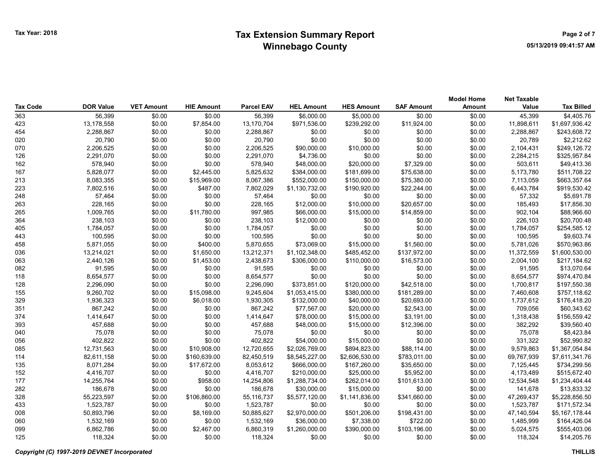## Tax Year: 2018 **Extension Summary Report Number 2018** Page 2 of 7 Winnebago County

| Tax Code | <b>DOR Value</b> | <b>VET Amount</b> | <b>HIE Amount</b> | <b>Parcel EAV</b> | <b>HEL Amount</b> | <b>HES Amount</b> | <b>SAF Amount</b> | <b>Model Home</b><br><b>Amount</b> | <b>Net Taxable</b><br>Value | <b>Tax Billed</b> |
|----------|------------------|-------------------|-------------------|-------------------|-------------------|-------------------|-------------------|------------------------------------|-----------------------------|-------------------|
| 363      | 56,399           | \$0.00            | \$0.00            | 56,399            | \$6,000.00        | \$5,000.00        | \$0.00            | \$0.00                             | 45,399                      | \$4,405.76        |
| 423      | 13,178,558       | \$0.00            | \$7,854.00        | 13,170,704        | \$971,536.00      | \$239,292.00      | \$11,924.00       | \$0.00                             | 11,898,611                  | \$1,697,936.42    |
| 454      | 2,288,867        | \$0.00            | \$0.00            | 2,288,867         | \$0.00            | \$0.00            | \$0.00            | \$0.00                             | 2,288,867                   | \$243,608.72      |
| 020      | 20,790           | \$0.00            | \$0.00            | 20,790            | \$0.00            | \$0.00            | \$0.00            | \$0.00                             | 20,789                      | \$2,212.62        |
| 070      | 2,206,525        | \$0.00            | \$0.00            | 2,206,525         | \$90,000.00       | \$10,000.00       | \$0.00            | \$0.00                             | 2,104,431                   | \$249,126.72      |
| 126      | 2,291,070        | \$0.00            | \$0.00            | 2,291,070         | \$4,736.00        | \$0.00            | \$0.00            | \$0.00                             | 2,284,215                   | \$325,957.84      |
| 162      | 578,940          | \$0.00            | \$0.00            | 578,940           | \$48,000.00       | \$20,000.00       | \$7,329.00        | \$0.00                             | 503,611                     | \$49,413.36       |
| 167      | 5,828,077        | \$0.00            | \$2,445.00        | 5,825,632         | \$384,000.00      | \$181,699.00      | \$75,638.00       | \$0.00                             | 5,173,780                   | \$511,708.22      |
| 213      | 8,083,355        | \$0.00            | \$15,969.00       | 8,067,386         | \$552,000.00      | \$150,000.00      | \$75,380.00       | \$0.00                             | 7,113,059                   | \$663,357.64      |
| 223      | 7,802,516        | \$0.00            | \$487.00          | 7,802,029         | \$1,130,732.00    | \$190,920.00      | \$22,244.00       | \$0.00                             | 6,443,784                   | \$919,530.42      |
| 248      | 57,464           | \$0.00            | \$0.00            | 57,464            | \$0.00            | \$0.00            | \$0.00            | \$0.00                             | 57,332                      | \$5,691.78        |
| 263      | 228,165          | \$0.00            | \$0.00            | 228,165           | \$12,000.00       | \$10,000.00       | \$20,657.00       | \$0.00                             | 185,493                     | \$17,856.30       |
| 265      | 1,009,765        | \$0.00            | \$11,780.00       | 997,985           | \$66,000.00       | \$15,000.00       | \$14,859.00       | \$0.00                             | 902,104                     | \$88,966.60       |
| 364      | 238,103          | \$0.00            | \$0.00            | 238,103           | \$12,000.00       | \$0.00            | \$0.00            | \$0.00                             | 226,103                     | \$20,700.48       |
| 405      | 1,784,057        | \$0.00            | \$0.00            | 1,784,057         | \$0.00            | \$0.00            | \$0.00            | \$0.00                             | 1,784,057                   | \$254,585.12      |
| 443      | 100,595          | \$0.00            | \$0.00            | 100,595           | \$0.00            | \$0.00            | \$0.00            | \$0.00                             | 100,595                     | \$9,603.74        |
| 458      | 5,871,055        | \$0.00            | \$400.00          | 5,870,655         | \$73,069.00       | \$15,000.00       | \$1,560.00        | \$0.00                             | 5,781,026                   | \$570,963.86      |
| 036      | 13,214,021       | \$0.00            | \$1,650.00        | 13,212,371        | \$1,102,348.00    | \$485,452.00      | \$137,972.00      | \$0.00                             | 11,372,559                  | \$1,600,530.00    |
| 063      | 2,440,126        | \$0.00            | \$1,453.00        | 2,438,673         | \$306,000.00      | \$110,000.00      | \$16,573.00       | \$0.00                             | 2,004,100                   | \$217,184.62      |
| 082      | 91,595           | \$0.00            | \$0.00            | 91,595            | \$0.00            | \$0.00            | \$0.00            | \$0.00                             | 91,595                      | \$13,070.64       |
| 118      | 8,654,577        | \$0.00            | \$0.00            | 8,654,577         | \$0.00            | \$0.00            | \$0.00            | \$0.00                             | 8,654,577                   | \$974,470.84      |
| 128      | 2,296,090        | \$0.00            | \$0.00            | 2,296,090         | \$373,851.00      | \$120,000.00      | \$42,518.00       | \$0.00                             | 1,700,817                   | \$197,550.38      |
| 155      | 9,260,702        | \$0.00            | \$15,098.00       | 9,245,604         | \$1,053,415.00    | \$380,000.00      | \$181,289.00      | \$0.00                             | 7,460,608                   | \$757,118.62      |
| 329      | 1,936,323        | \$0.00            | \$6,018.00        | 1,930,305         | \$132,000.00      | \$40,000.00       | \$20,693.00       | \$0.00                             | 1,737,612                   | \$176,418.20      |
| 351      | 867,242          | \$0.00            | \$0.00            | 867,242           | \$77,567.00       | \$20,000.00       | \$2,543.00        | \$0.00                             | 709,056                     | \$60,343.62       |
| 374      | 1,414,647        | \$0.00            | \$0.00            | 1,414,647         | \$78,000.00       | \$15,000.00       | \$3,191.00        | \$0.00                             | 1,318,438                   | \$156,559.42      |
| 393      | 457,688          | \$0.00            | \$0.00            | 457,688           | \$48,000.00       | \$15,000.00       | \$12,396.00       | \$0.00                             | 382,292                     | \$39,560.40       |
| 040      | 75,078           | \$0.00            | \$0.00            | 75,078            | \$0.00            | \$0.00            | \$0.00            | \$0.00                             | 75,078                      | \$8,423.84        |
| 056      | 402,822          | \$0.00            | \$0.00            | 402,822           | \$54,000.00       | \$15,000.00       | \$0.00            | \$0.00                             | 331,322                     | \$52,990.82       |
| 085      | 12,731,563       | \$0.00            | \$10,908.00       | 12,720,655        | \$2,026,769.00    | \$894,823.00      | \$88,114.00       | \$0.00                             | 9,579,863                   | \$1,367,054.84    |
| 114      | 82,611,158       | \$0.00            | \$160,639.00      | 82,450,519        | \$8,545,227.00    | \$2,606,530.00    | \$783,011.00      | \$0.00                             | 69,767,939                  | \$7,611,341.76    |
| 135      | 8,071,284        | \$0.00            | \$17,672.00       | 8,053,612         | \$666,000.00      | \$167,260.00      | \$35,650.00       | \$0.00                             | 7,125,445                   | \$734,299.56      |
| 152      | 4,416,707        | \$0.00            | \$0.00            | 4,416,707         | \$210,000.00      | \$25,000.00       | \$5,952.00        | \$0.00                             | 4,173,489                   | \$515,672.40      |
| 177      | 14,255,764       | \$0.00            | \$958.00          | 14,254,806        | \$1,288,734.00    | \$262,014.00      | \$101,613.00      | \$0.00                             | 12,534,548                  | \$1,234,404.44    |
| 282      | 186,678          | \$0.00            | \$0.00            | 186,678           | \$30,000.00       | \$15,000.00       | \$0.00            | \$0.00                             | 141,678                     | \$13,833.32       |
| 328      | 55,223,597       | \$0.00            | \$106,860.00      | 55,116,737        | \$5,577,120.00    | \$1,141,836.00    | \$341,660.00      | \$0.00                             | 47,269,437                  | \$5,228,856.50    |
| 433      | 1,523,787        | \$0.00            | \$0.00            | 1,523,787         | \$0.00            | \$0.00            | \$0.00            | \$0.00                             | 1,523,787                   | \$171,572.34      |
| 008      | 50,893,796       | \$0.00            | \$8,169.00        | 50,885,627        | \$2,970,000.00    | \$501,206.00      | \$198,431.00      | \$0.00                             | 47,140,594                  | \$5,167,178.44    |
| 060      | 1,532,169        | \$0.00            | \$0.00            | 1,532,169         | \$36,000.00       | \$7,338.00        | \$722.00          | \$0.00                             | 1,485,999                   | \$164,426.04      |
| 099      | 6,862,786        | \$0.00            | \$2,467.00        | 6,860,319         | \$1,260,000.00    | \$390,000.00      | \$103,196.00      | \$0.00                             | 5,024,575                   | \$555,403.06      |
| 125      | 118,324          | \$0.00            | \$0.00            | 118,324           | \$0.00            | \$0.00            | \$0.00            | \$0.00                             | 118,324                     | \$14,205.76       |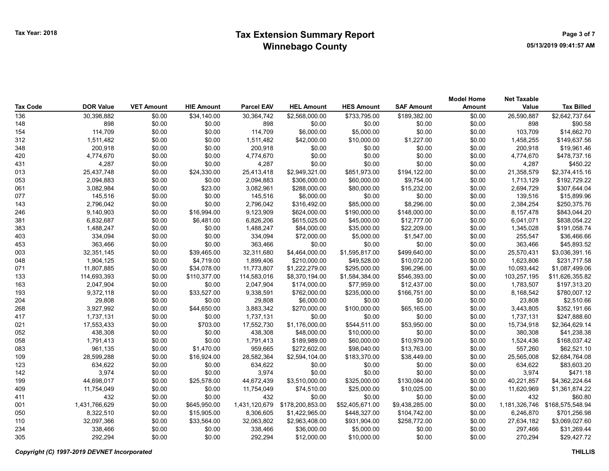| <b>Tax Code</b> | <b>DOR Value</b> | <b>VET Amount</b> | <b>HIE Amount</b> | <b>Parcel EAV</b> | <b>HEL Amount</b> | <b>HES Amount</b> | <b>SAF Amount</b> | <b>Model Home</b><br><b>Amount</b> | <b>Net Taxable</b><br>Value | <b>Tax Billed</b> |
|-----------------|------------------|-------------------|-------------------|-------------------|-------------------|-------------------|-------------------|------------------------------------|-----------------------------|-------------------|
| 136             | 30,398,882       | \$0.00            | \$34,140.00       | 30,364,742        | \$2,568,000.00    | \$733,795.00      | \$189,382.00      | \$0.00                             | 26,590,887                  | \$2,642,737.64    |
| 148             | 898              | \$0.00            | \$0.00            | 898               | \$0.00            | \$0.00            | \$0.00            | \$0.00                             | 898                         | \$90.58           |
| 154             | 114,709          | \$0.00            | \$0.00            | 114,709           | \$6,000.00        | \$5,000.00        | \$0.00            | \$0.00                             | 103,709                     | \$14,662.70       |
| 312             | 1,511,482        | \$0.00            | \$0.00            | 1,511,482         | \$42,000.00       | \$10,000.00       | \$1,227.00        | \$0.00                             | 1,458,255                   | \$149,637.56      |
| 348             | 200,918          | \$0.00            | \$0.00            | 200,918           | \$0.00            | \$0.00            | \$0.00            | \$0.00                             | 200,918                     | \$19,961.46       |
| 420             | 4,774,670        | \$0.00            | \$0.00            | 4,774,670         | \$0.00            | \$0.00            | \$0.00            | \$0.00                             | 4,774,670                   | \$478,737.16      |
| 431             | 4,287            | \$0.00            | \$0.00            | 4,287             | \$0.00            | \$0.00            | \$0.00            | \$0.00                             | 4,287                       | \$450.22          |
| 013             | 25,437,748       | \$0.00            | \$24,330.00       | 25,413,418        | \$2,949,321.00    | \$851,973.00      | \$194,122.00      | \$0.00                             | 21,358,579                  | \$2,374,415.16    |
| 053             | 2,094,883        | \$0.00            | \$0.00            | 2,094,883         | \$306,000.00      | \$60,000.00       | \$9,754.00        | \$0.00                             | 1,713,129                   | \$192,729.22      |
| 061             | 3,082,984        | \$0.00            | \$23.00           | 3,082,961         | \$288,000.00      | \$80,000.00       | \$15,232.00       | \$0.00                             | 2,694,729                   | \$307,644.04      |
| 077             | 145,516          | \$0.00            | \$0.00            | 145,516           | \$6,000.00        | \$0.00            | \$0.00            | \$0.00                             | 139,516                     | \$15,899.96       |
| 143             | 2,796,042        | \$0.00            | \$0.00            | 2,796,042         | \$316,492.00      | \$85,000.00       | \$8,296.00        | \$0.00                             | 2,384,254                   | \$250,375.76      |
| 246             | 9,140,903        | \$0.00            | \$16,994.00       | 9,123,909         | \$624,000.00      | \$190,000.00      | \$148,000.00      | \$0.00                             | 8,157,478                   | \$843,044.20      |
| 381             | 6,832,687        | \$0.00            | \$6,481.00        | 6,826,206         | \$615,025.00      | \$45,000.00       | \$12,777.00       | \$0.00                             | 6,041,071                   | \$838,054.22      |
| 383             | 1,488,247        | \$0.00            | \$0.00            | 1,488,247         | \$84,000.00       | \$35,000.00       | \$22,209.00       | \$0.00                             | 1,345,028                   | \$191,058.74      |
| 403             | 334,094          | \$0.00            | \$0.00            | 334,094           | \$72,000.00       | \$5,000.00        | \$1,547.00        | \$0.00                             | 255,547                     | \$36,466.66       |
| 453             | 363,466          | \$0.00            | \$0.00            | 363,466           | \$0.00            | \$0.00            | \$0.00            | \$0.00                             | 363,466                     | \$45,893.52       |
| 003             | 32,351,145       | \$0.00            | \$39,465.00       | 32,311,680        | \$4,464,000.00    | \$1,595,817.00    | \$499,640.00      | \$0.00                             | 25,570,431                  | \$3,036,391.16    |
| 048             | 1,904,125        | \$0.00            | \$4,719.00        | 1,899,406         | \$210,000.00      | \$49,528.00       | \$10,072.00       | \$0.00                             | 1,623,806                   | \$231,717.58      |
| 071             | 11,807,885       | \$0.00            | \$34,078.00       | 11,773,807        | \$1,222,279.00    | \$295,000.00      | \$96,296.00       | \$0.00                             | 10,093,442                  | \$1,087,499.06    |
| 133             | 114,693,393      | \$0.00            | \$110,377.00      | 114,583,016       | \$8,370,194.00    | \$1,584,384.00    | \$546,393.00      | \$0.00                             | 103,257,195                 | \$11,626,355.82   |
| 163             | 2,047,904        | \$0.00            | \$0.00            | 2,047,904         | \$174,000.00      | \$77,959.00       | \$12,437.00       | \$0.00                             | 1,783,507                   | \$197,313.20      |
| 193             | 9,372,118        | \$0.00            | \$33,527.00       | 9,338,591         | \$762,000.00      | \$235,000.00      | \$166,751.00      | \$0.00                             | 8,168,542                   | \$780,007.12      |
| 204             | 29,808           | \$0.00            | \$0.00            | 29,808            | \$6,000.00        | \$0.00            | \$0.00            | \$0.00                             | 23,808                      | \$2,510.66        |
| 268             | 3,927,992        | \$0.00            | \$44,650.00       | 3,883,342         | \$270,000.00      | \$100,000.00      | \$65,165.00       | \$0.00                             | 3,443,805                   | \$352,191.66      |
| 417             | 1,737,131        | \$0.00            | \$0.00            | 1,737,131         | \$0.00            | \$0.00            | \$0.00            | \$0.00                             | 1,737,131                   | \$247,888.60      |
| 021             | 17,553,433       | \$0.00            | \$703.00          | 17,552,730        | \$1,176,000.00    | \$544,511.00      | \$53,950.00       | \$0.00                             | 15,734,918                  | \$2,364,629.14    |
| 052             | 438,308          | \$0.00            | \$0.00            | 438,308           | \$48,000.00       | \$10,000.00       | \$0.00            | \$0.00                             | 380,308                     | \$41,238.38       |
| 058             | 1,791,413        | \$0.00            | \$0.00            | 1,791,413         | \$189,989.00      | \$60,000.00       | \$10,979.00       | \$0.00                             | 1,524,436                   | \$168,037.42      |
| 083             | 961,135          | \$0.00            | \$1,470.00        | 959,665           | \$272,602.00      | \$98,040.00       | \$13,763.00       | \$0.00                             | 557,260                     | \$62,521.10       |
| 109             | 28,599,288       | \$0.00            | \$16,924.00       | 28,582,364        | \$2,594,104.00    | \$183,370.00      | \$38,449.00       | \$0.00                             | 25,565,008                  | \$2,684,764.08    |
| 123             | 634,622          | \$0.00            | \$0.00            | 634,622           | \$0.00            | \$0.00            | \$0.00            | \$0.00                             | 634,622                     | \$83,603.20       |
| 142             | 3,974            | \$0.00            | \$0.00            | 3,974             | \$0.00            | \$0.00            | \$0.00            | \$0.00                             | 3,974                       | \$471.18          |
| 199             | 44,698,017       | \$0.00            | \$25,578.00       | 44,672,439        | \$3,510,000.00    | \$325,000.00      | \$130,084.00      | \$0.00                             | 40,221,857                  | \$4,362,224.64    |
| 409             | 11,754,049       | \$0.00            | \$0.00            | 11,754,049        | \$74,510.00       | \$25,000.00       | \$10,025.00       | \$0.00                             | 11,620,969                  | \$1,361,874.22    |
| 411             | 432              | \$0.00            | \$0.00            | 432               | \$0.00            | \$0.00            | \$0.00            | \$0.00                             | 432                         | \$60.80           |
| 001             | 1,431,766,629    | \$0.00            | \$645,950.00      | 1,431,120,679     | \$178,200,853.00  | \$52,405,671.00   | \$9,438,285.00    | \$0.00                             | 1,181,326,746               | \$168,575,548.94  |
| 050             | 8,322,510        | \$0.00            | \$15,905.00       | 8,306,605         | \$1,422,965.00    | \$448,327.00      | \$104,742.00      | \$0.00                             | 6,246,870                   | \$701,256.98      |
| 110             | 32,097,366       | \$0.00            | \$33,564.00       | 32,063,802        | \$2,963,408.00    | \$931,904.00      | \$258,772.00      | \$0.00                             | 27,634,182                  | \$3,069,027.60    |
| 234             | 338,466          | \$0.00            | \$0.00            | 338,466           | \$36,000.00       | \$5,000.00        | \$0.00            | \$0.00                             | 297,466                     | \$31,269.44       |
| 305             | 292.294          | \$0.00            | \$0.00            | 292,294           | \$12,000.00       | \$10,000.00       | \$0.00            | \$0.00                             | 270.294                     | \$29,427.72       |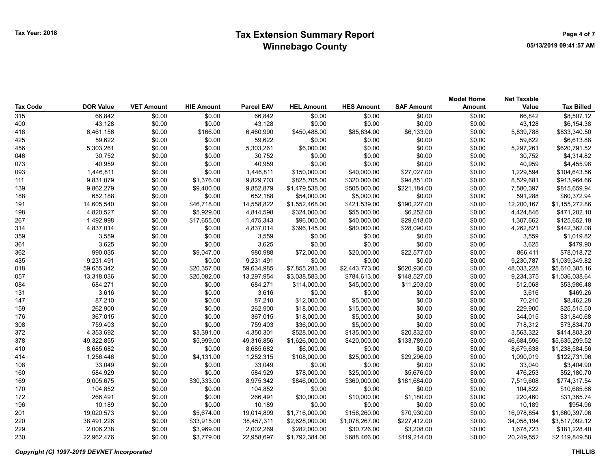| <b>Tax Code</b> | <b>DOR Value</b> | <b>VET Amount</b> | <b>HIE Amount</b> | <b>Parcel EAV</b> | <b>HEL Amount</b> | <b>HES Amount</b> | <b>SAF Amount</b> | <b>Model Home</b><br>Amount | <b>Net Taxable</b><br>Value | <b>Tax Billed</b> |
|-----------------|------------------|-------------------|-------------------|-------------------|-------------------|-------------------|-------------------|-----------------------------|-----------------------------|-------------------|
| 315             | 66,842           | \$0.00            | \$0.00            | 66,842            | \$0.00            | \$0.00            | \$0.00            | \$0.00                      | 66,842                      | \$8,507.12        |
| 400             | 43,128           | \$0.00            | \$0.00            | 43,128            | \$0.00            | \$0.00            | \$0.00            | \$0.00                      | 43,128                      | \$6,154.38        |
| 418             | 6,461,156        | \$0.00            | \$166.00          | 6,460,990         | \$450,488.00      | \$85,834.00       | \$6,133.00        | \$0.00                      | 5,839,788                   | \$833,340.50      |
| 425             | 59,622           | \$0.00            | \$0.00            | 59,622            | \$0.00            | \$0.00            | \$0.00            | \$0.00                      | 59,622                      | \$6,613.88        |
| 456             | 5,303,261        | \$0.00            | \$0.00            | 5,303,261         | \$6,000.00        | \$0.00            | \$0.00            | \$0.00                      | 5,297,261                   | \$620,791.52      |
| 046             | 30,752           | \$0.00            | \$0.00            | 30,752            | \$0.00            | \$0.00            | \$0.00            | \$0.00                      | 30,752                      | \$4,314.82        |
| 073             | 40,959           | \$0.00            | \$0.00            | 40,959            | \$0.00            | \$0.00            | \$0.00            | \$0.00                      | 40,959                      | \$4,455.98        |
| 093             | 1,446,811        | \$0.00            | \$0.00            | 1,446,811         | \$150,000.00      | \$40,000.00       | \$27,027.00       | \$0.00                      | 1,229,594                   | \$104,643.56      |
| 111             | 9,831,079        | \$0.00            | \$1,376.00        | 9,829,703         | \$825,705.00      | \$320,000.00      | \$94,851.00       | \$0.00                      | 8,529,681                   | \$913,964.66      |
| 139             | 9,862,279        | \$0.00            | \$9,400.00        | 9,852,879         | \$1,479,538.00    | \$505,000.00      | \$221,184.00      | \$0.00                      | 7,580,397                   | \$815,659.94      |
| 188             | 652,188          | \$0.00            | \$0.00            | 652,188           | \$54,000.00       | \$5,000.00        | \$0.00            | \$0.00                      | 591,288                     | \$60,372.94       |
| 191             | 14,605,540       | \$0.00            | \$46,718.00       | 14,558,822        | \$1,552,468.00    | \$421,539.00      | \$190,227.00      | \$0.00                      | 12,200,167                  | \$1,155,272.86    |
| 198             | 4,820,527        | \$0.00            | \$5,929.00        | 4,814,598         | \$324,000.00      | \$55,000.00       | \$6,252.00        | \$0.00                      | 4,424,846                   | \$471,202.10      |
| 267             | 1,492,998        | \$0.00            | \$17,655.00       | 1,475,343         | \$96,000.00       | \$40,000.00       | \$29,618.00       | \$0.00                      | 1,307,662                   | \$125,652.18      |
| 314             | 4,837,014        | \$0.00            | \$0.00            | 4,837,014         | \$396,145.00      | \$80,000.00       | \$28,090.00       | \$0.00                      | 4,262,821                   | \$442,362.08      |
| 359             | 3,559            | \$0.00            | \$0.00            | 3,559             | \$0.00            | \$0.00            | \$0.00            | \$0.00                      | 3,559                       | \$1,019.82        |
| 361             | 3,625            | \$0.00            | \$0.00            | 3,625             | \$0.00            | \$0.00            | \$0.00            | \$0.00                      | 3,625                       | \$479.90          |
| 362             | 990,035          | \$0.00            | \$9,047.00        | 980,988           | \$72,000.00       | \$20,000.00       | \$22,577.00       | \$0.00                      | 866,411                     | \$78,018.72       |
| 435             | 9,231,491        | \$0.00            | \$0.00            | 9,231,491         | \$0.00            | \$0.00            | \$0.00            | \$0.00                      | 9,230,787                   | \$1,039,349.82    |
| 018             | 59,655,342       | \$0.00            | \$20,357.00       | 59,634,985        | \$7,855,283.00    | \$2,443,773.00    | \$620,936.00      | \$0.00                      | 48,033,228                  | \$5,610,385.16    |
| 057             | 13,318,036       | \$0.00            | \$20,082.00       | 13,297,954        | \$3,038,583.00    | \$784,613.00      | \$148,527.00      | \$0.00                      | 9,234,375                   | \$1,036,038.64    |
| 084             | 684,271          | \$0.00            | \$0.00            | 684,271           | \$114,000.00      | \$45,000.00       | \$11,203.00       | \$0.00                      | 512,068                     | \$53,986.48       |
| 131             | 3,616            | \$0.00            | \$0.00            | 3,616             | \$0.00            | \$0.00            | \$0.00            | \$0.00                      | 3,616                       | \$469.26          |
| 147             | 87,210           | \$0.00            | \$0.00            | 87,210            | \$12,000.00       | \$5,000.00        | \$0.00            | \$0.00                      | 70,210                      | \$8,462.28        |
| 159             | 262,900          | \$0.00            | \$0.00            | 262,900           | \$18,000.00       | \$15,000.00       | \$0.00            | \$0.00                      | 229,900                     | \$25,515.50       |
| 176             | 367,015          | \$0.00            | \$0.00            | 367,015           | \$18,000.00       | \$5,000.00        | \$0.00            | \$0.00                      | 344,015                     | \$31,840.68       |
| 308             | 759,403          | \$0.00            | \$0.00            | 759,403           | \$36,000.00       | \$5,000.00        | \$0.00            | \$0.00                      | 718,312                     | \$73,834.70       |
| 372             | 4,353,692        | \$0.00            | \$3,391.00        | 4,350,301         | \$528,000.00      | \$135,000.00      | \$20,832.00       | \$0.00                      | 3,563,322                   | \$414,803.20      |
| 378             | 49,322,855       | \$0.00            | \$5,999.00        | 49,316,856        | \$1,626,000.00    | \$420,000.00      | \$133,789.00      | \$0.00                      | 46,684,596                  | \$5,635,299.52    |
| 410             | 8,685,682        | \$0.00            | \$0.00            | 8,685,682         | \$6,000.00        | \$0.00            | \$0.00            | \$0.00                      | 8,679,638                   | \$1,238,584.56    |
| 414             | 1,256,446        | \$0.00            | \$4,131.00        | 1,252,315         | \$108,000.00      | \$25,000.00       | \$29,296.00       | \$0.00                      | 1,090,019                   | \$122,731.96      |
| 108             | 33,049           | \$0.00            | \$0.00            | 33,049            | \$0.00            | \$0.00            | \$0.00            | \$0.00                      | 33,040                      | \$3,404.90        |
| 160             | 584,929          | \$0.00            | \$0.00            | 584,929           | \$78,000.00       | \$25,000.00       | \$5,676.00        | \$0.00                      | 476,253                     | \$52,180.70       |
| 169             | 9,005,675        | \$0.00            | \$30,333.00       | 8,975,342         | \$846,000.00      | \$360,000.00      | \$181,684.00      | \$0.00                      | 7,519,608                   | \$774,317.54      |
| 170             | 104,852          | \$0.00            | \$0.00            | 104,852           | \$0.00            | \$0.00            | \$0.00            | \$0.00                      | 104,822                     | \$10,685.66       |
| 172             | 266,491          | \$0.00            | \$0.00            | 266,491           | \$30,000.00       | \$10,000.00       | \$1,180.00        | \$0.00                      | 220,460                     | \$31,365.74       |
| 196             | 10,189           | \$0.00            | \$0.00            | 10,189            | \$0.00            | \$0.00            | \$0.00            | \$0.00                      | 10,189                      | \$954.96          |
| 201             | 19,020,573       | \$0.00            | \$5,674.00        | 19,014,899        | \$1,716,000.00    | \$156,260.00      | \$70,930.00       | \$0.00                      | 16,978,854                  | \$1,660,397.06    |
| 220             | 38,491,226       | \$0.00            | \$33,915.00       | 38,457,311        | \$2,628,000.00    | \$1,078,267.00    | \$227,412.00      | \$0.00                      | 34,058,194                  | \$3,517,092.12    |
| 229             | 2,006,238        | \$0.00            | \$3,969.00        | 2,002,269         | \$282,000.00      | \$30,726.00       | \$3,208.00        | \$0.00                      | 1,678,723                   | \$181,228.40      |
| 230             | 22.962.476       | \$0.00            | \$3,779.00        | 22,958,697        | \$1,792,384.00    | \$688,466.00      | \$119,214.00      | \$0.00                      | 20,249,552                  | \$2,119,849.58    |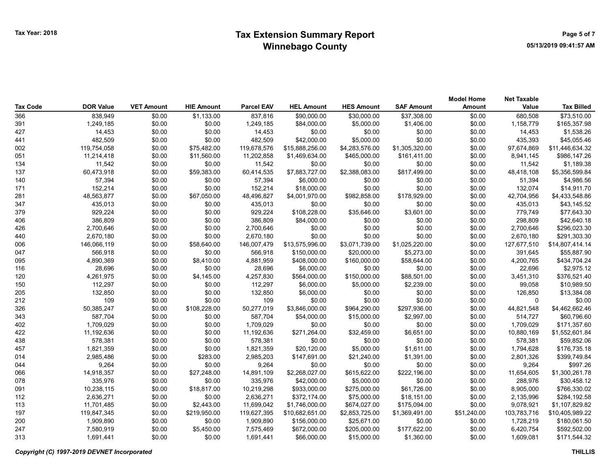## Tax Year: 2018 **Extension Summary Report Number 2018** Page 5 of 7 Winnebago County

| Tax Code | <b>DOR Value</b> | <b>VET Amount</b> | <b>HIE Amount</b> | <b>Parcel EAV</b> | <b>HEL Amount</b> | <b>HES Amount</b> | <b>SAF Amount</b> | <b>Model Home</b><br><b>Amount</b> | <b>Net Taxable</b><br>Value | <b>Tax Billed</b> |
|----------|------------------|-------------------|-------------------|-------------------|-------------------|-------------------|-------------------|------------------------------------|-----------------------------|-------------------|
| 366      | 838,949          | \$0.00            | \$1,133.00        | 837,816           | \$90,000.00       | \$30,000.00       | \$37,308.00       | \$0.00                             | 680,508                     | \$73,510.00       |
| 391      | 1,249,185        | \$0.00            | \$0.00            | 1,249,185         | \$84,000.00       | \$5,000.00        | \$1,406.00        | \$0.00                             | 1,158,779                   | \$165,357.98      |
| 427      | 14,453           | \$0.00            | \$0.00            | 14,453            | \$0.00            | \$0.00            | \$0.00            | \$0.00                             | 14,453                      | \$1,538.26        |
| 441      | 482,509          | \$0.00            | \$0.00            | 482,509           | \$42,000.00       | \$5,000.00        | \$0.00            | \$0.00                             | 435,393                     | \$45,055.46       |
| 002      | 119,754,058      | \$0.00            | \$75,482.00       | 119,678,576       | \$15,888,256.00   | \$4,283,576.00    | \$1,305,320.00    | \$0.00                             | 97,674,869                  | \$11,446,634.32   |
| 051      | 11,214,418       | \$0.00            | \$11,560.00       | 11,202,858        | \$1,469,634.00    | \$465,000.00      | \$161,411.00      | \$0.00                             | 8,941,145                   | \$986,147.26      |
| 134      | 11,542           | \$0.00            | \$0.00            | 11,542            | \$0.00            | \$0.00            | \$0.00            | \$0.00                             | 11,542                      | \$1,189.38        |
| 137      | 60,473,918       | \$0.00            | \$59,383.00       | 60,414,535        | \$7,883,727.00    | \$2,388,083.00    | \$817,499.00      | \$0.00                             | 48,418,108                  | \$5,356,599.84    |
| 140      | 57,394           | \$0.00            | \$0.00            | 57,394            | \$6,000.00        | \$0.00            | \$0.00            | \$0.00                             | 51,394                      | \$4,986.56        |
| 171      | 152,214          | \$0.00            | \$0.00            | 152,214           | \$18,000.00       | \$0.00            | \$0.00            | \$0.00                             | 132,074                     | \$14,911.70       |
| 281      | 48,563,877       | \$0.00            | \$67,050.00       | 48,496,827        | \$4,001,970.00    | \$982,858.00      | \$178,929.00      | \$0.00                             | 42,704,956                  | \$4,433,548.86    |
| 347      | 435,013          | \$0.00            | \$0.00            | 435,013           | \$0.00            | \$0.00            | \$0.00            | \$0.00                             | 435,013                     | \$43,145.52       |
| 379      | 929,224          | \$0.00            | \$0.00            | 929,224           | \$108,228.00      | \$35,646.00       | \$3,601.00        | \$0.00                             | 779,749                     | \$77,643.30       |
| 406      | 386,809          | \$0.00            | \$0.00            | 386,809           | \$84,000.00       | \$0.00            | \$0.00            | \$0.00                             | 298,809                     | \$42,640.18       |
| 426      | 2,700,646        | \$0.00            | \$0.00            | 2,700,646         | \$0.00            | \$0.00            | \$0.00            | \$0.00                             | 2,700,646                   | \$296,023.30      |
| 440      | 2,670,180        | \$0.00            | \$0.00            | 2,670,180         | \$0.00            | \$0.00            | \$0.00            | \$0.00                             | 2,670,180                   | \$291,303.30      |
| 006      | 146,066,119      | \$0.00            | \$58,640.00       | 146,007,479       | \$13,575,996.00   | \$3,071,739.00    | \$1,025,220.00    | \$0.00                             | 127,677,510                 | \$14,807,414.14   |
| 047      | 566,918          | \$0.00            | \$0.00            | 566,918           | \$150,000.00      | \$20,000.00       | \$5,273.00        | \$0.00                             | 391,645                     | \$55,887.90       |
| 095      | 4,890,369        | \$0.00            | \$8,410.00        | 4,881,959         | \$408,000.00      | \$160,000.00      | \$58,644.00       | \$0.00                             | 4,200,765                   | \$434,704.24      |
| 116      | 28,696           | \$0.00            | \$0.00            | 28,696            | \$6,000.00        | \$0.00            | \$0.00            | \$0.00                             | 22,696                      | \$2,975.12        |
| 120      | 4,261,975        | \$0.00            | \$4,145.00        | 4,257,830         | \$564,000.00      | \$150,000.00      | \$88,501.00       | \$0.00                             | 3,451,310                   | \$376,521.40      |
| 150      | 112,297          | \$0.00            | \$0.00            | 112,297           | \$6,000.00        | \$5,000.00        | \$2,239.00        | \$0.00                             | 99,058                      | \$10,989.50       |
| 205      | 132,850          | \$0.00            | \$0.00            | 132,850           | \$6,000.00        | \$0.00            | \$0.00            | \$0.00                             | 126,850                     | \$13,384.08       |
| 212      | 109              | \$0.00            | \$0.00            | 109               | \$0.00            | \$0.00            | \$0.00            | \$0.00                             | 0                           | \$0.00            |
| 326      | 50,385,247       | \$0.00            | \$108,228.00      | 50,277,019        | \$3,846,000.00    | \$964,290.00      | \$297,936.00      | \$0.00                             | 44,821,548                  | \$4,462,662.46    |
| 343      | 587,704          | \$0.00            | \$0.00            | 587,704           | \$54,000.00       | \$15,000.00       | \$2,997.00        | \$0.00                             | 514,727                     | \$60,796.60       |
| 402      | 1,709,029        | \$0.00            | \$0.00            | 1,709,029         | \$0.00            | \$0.00            | \$0.00            | \$0.00                             | 1,709,029                   | \$171,357.60      |
| 422      | 11,192,636       | \$0.00            | \$0.00            | 11,192,636        | \$271,264.00      | \$32,459.00       | \$6,651.00        | \$0.00                             | 10,880,169                  | \$1,552,601.84    |
| 438      | 578,381          | \$0.00            | \$0.00            | 578,381           | \$0.00            | \$0.00            | \$0.00            | \$0.00                             | 578,381                     | \$59,852.06       |
| 457      | 1,821,359        | \$0.00            | \$0.00            | 1,821,359         | \$20,120.00       | \$5,000.00        | \$1,611.00        | \$0.00                             | 1,794,628                   | \$176,735.18      |
| 014      | 2,985,486        | \$0.00            | \$283.00          | 2,985,203         | \$147,691.00      | \$21,240.00       | \$1,391.00        | \$0.00                             | 2,801,326                   | \$399,749.84      |
| 044      | 9,264            | \$0.00            | \$0.00            | 9,264             | \$0.00            | \$0.00            | \$0.00            | \$0.00                             | 9,264                       | \$997.26          |
| 066      | 14,918,357       | \$0.00            | \$27,248.00       | 14,891,109        | \$2,268,027.00    | \$615,622.00      | \$222,196.00      | \$0.00                             | 11,654,605                  | \$1,300,261.78    |
| 078      | 335,976          | \$0.00            | \$0.00            | 335,976           | \$42,000.00       | \$5,000.00        | \$0.00            | \$0.00                             | 288,976                     | \$30,458.12       |
| 091      | 10,238,115       | \$0.00            | \$18,817.00       | 10,219,298        | \$933,000.00      | \$275,000.00      | \$61,726.00       | \$0.00                             | 8,905,000                   | \$766,330.02      |
| 112      | 2,636,271        | \$0.00            | \$0.00            | 2,636,271         | \$372,174.00      | \$75,000.00       | \$18,151.00       | \$0.00                             | 2,135,996                   | \$284,192.58      |
| 113      | 11,701,485       | \$0.00            | \$2,443.00        | 11,699,042        | \$1,746,000.00    | \$674,027.00      | \$175,094.00      | \$0.00                             | 9,078,921                   | \$1,107,829.82    |
| 197      | 119,847,345      | \$0.00            | \$219,950.00      | 119,627,395       | \$10,682,651.00   | \$2,853,725.00    | \$1,369,491.00    | \$51,240.00                        | 103,783,716                 | \$10,405,989.22   |
| 200      | 1,909,890        | \$0.00            | \$0.00            | 1,909,890         | \$156,000.00      | \$25,671.00       | \$0.00            | \$0.00                             | 1,728,219                   | \$180,061.50      |
| 247      | 7,580,919        | \$0.00            | \$5,450.00        | 7,575,469         | \$672,000.00      | \$205,000.00      | \$177,622.00      | \$0.00                             | 6,420,754                   | \$592,502.00      |
| 313      | 1,691,441        | \$0.00            | \$0.00            | 1,691,441         | \$66,000.00       | \$15,000.00       | \$1,360.00        | \$0.00                             | 1,609,081                   | \$171,544.32      |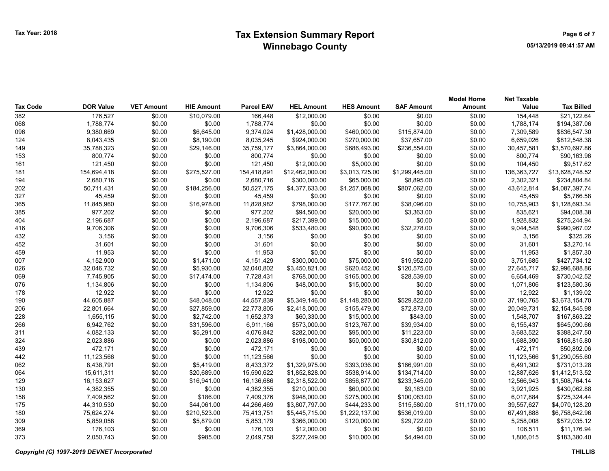| Tax Code | <b>DOR Value</b> | <b>VET Amount</b> | <b>HIE Amount</b> | <b>Parcel EAV</b> | <b>HEL Amount</b> | <b>HES Amount</b> | <b>SAF Amount</b> | <b>Model Home</b><br><b>Amount</b> | <b>Net Taxable</b><br>Value | <b>Tax Billed</b> |
|----------|------------------|-------------------|-------------------|-------------------|-------------------|-------------------|-------------------|------------------------------------|-----------------------------|-------------------|
| 382      | 176,527          | \$0.00            | \$10,079.00       | 166,448           | \$12,000.00       | \$0.00            | \$0.00            | \$0.00                             | 154,448                     | \$21,122.64       |
| 068      | 1,788,774        | \$0.00            | \$0.00            | 1,788,774         | \$0.00            | \$0.00            | \$0.00            | \$0.00                             | 1,788,174                   | \$194,387.06      |
| 096      | 9,380,669        | \$0.00            | \$6,645.00        | 9,374,024         | \$1,428,000.00    | \$460,000.00      | \$115,874.00      | \$0.00                             | 7,309,589                   | \$836,547.30      |
| 124      | 8,043,435        | \$0.00            | \$8,190.00        | 8,035,245         | \$924,000.00      | \$270,000.00      | \$37,657.00       | \$0.00                             | 6,659,026                   | \$812,548.38      |
| 149      | 35,788,323       | \$0.00            | \$29,146.00       | 35,759,177        | \$3,864,000.00    | \$686,493.00      | \$236,554.00      | \$0.00                             | 30,457,581                  | \$3,570,697.86    |
| 153      | 800,774          | \$0.00            | \$0.00            | 800,774           | \$0.00            | \$0.00            | \$0.00            | \$0.00                             | 800,774                     | \$90,163.96       |
| 161      | 121,450          | \$0.00            | \$0.00            | 121,450           | \$12,000.00       | \$5,000.00        | \$0.00            | \$0.00                             | 104,450                     | \$9,517.62        |
| 181      |                  | \$0.00            | \$275,527.00      | 154,418,891       | \$12,462,000.00   | \$3,013,725.00    | \$1,299,445.00    | \$0.00                             | 136, 363, 727               | \$13,628,748.52   |
| 194      | 154,694,418      |                   | \$0.00            |                   |                   |                   | \$8,895.00        |                                    |                             | \$234,804.84      |
|          | 2,680,716        | \$0.00            |                   | 2,680,716         | \$300,000.00      | \$65,000.00       |                   | \$0.00                             | 2,302,321                   |                   |
| 202      | 50,711,431       | \$0.00            | \$184,256.00      | 50,527,175        | \$4,377,633.00    | \$1,257,068.00    | \$807,062.00      | \$0.00                             | 43,612,814                  | \$4,087,397.74    |
| 327      | 45,459           | \$0.00            | \$0.00            | 45,459            | \$0.00            | \$0.00            | \$0.00            | \$0.00                             | 45,459                      | \$5,766.58        |
| 365      | 11,845,960       | \$0.00            | \$16,978.00       | 11,828,982        | \$798,000.00      | \$177,767.00      | \$38,096.00       | \$0.00                             | 10,755,903                  | \$1,128,693.34    |
| 385      | 977,202          | \$0.00            | \$0.00            | 977,202           | \$94,500.00       | \$20,000.00       | \$3,363.00        | \$0.00                             | 835,621                     | \$94,008.38       |
| 404      | 2,196,687        | \$0.00            | \$0.00            | 2,196,687         | \$217,399.00      | \$15,000.00       | \$0.00            | \$0.00                             | 1,928,832                   | \$275,244.94      |
| 416      | 9,706,306        | \$0.00            | \$0.00            | 9,706,306         | \$533,480.00      | \$90,000.00       | \$32,278.00       | \$0.00                             | 9,044,548                   | \$990,967.02      |
| 432      | 3,156            | \$0.00            | \$0.00            | 3,156             | \$0.00            | \$0.00            | \$0.00            | \$0.00                             | 3,156                       | \$325.26          |
| 452      | 31,601           | \$0.00            | \$0.00            | 31,601            | \$0.00            | \$0.00            | \$0.00            | \$0.00                             | 31,601                      | \$3,270.14        |
| 459      | 11,953           | \$0.00            | \$0.00            | 11,953            | \$0.00            | \$0.00            | \$0.00            | \$0.00                             | 11,953                      | \$1,857.30        |
| 007      | 4,152,900        | \$0.00            | \$1,471.00        | 4,151,429         | \$300,000.00      | \$75,000.00       | \$19,952.00       | \$0.00                             | 3,751,685                   | \$427,734.12      |
| 026      | 32,046,732       | \$0.00            | \$5,930.00        | 32,040,802        | \$3,450,821.00    | \$620,452.00      | \$120,575.00      | \$0.00                             | 27,645,717                  | \$2,996,688.86    |
| 069      | 7,745,905        | \$0.00            | \$17,474.00       | 7,728,431         | \$768,000.00      | \$165,000.00      | \$28,539.00       | \$0.00                             | 6,654,469                   | \$730,042.52      |
| 076      | 1,134,806        | \$0.00            | \$0.00            | 1,134,806         | \$48,000.00       | \$15,000.00       | \$0.00            | \$0.00                             | 1,071,806                   | \$123,580.36      |
| 178      | 12,922           | \$0.00            | \$0.00            | 12,922            | \$0.00            | \$0.00            | \$0.00            | \$0.00                             | 12,922                      | \$1,139.02        |
| 190      | 44,605,887       | \$0.00            | \$48,048.00       | 44,557,839        | \$5,349,146.00    | \$1,148,280.00    | \$529,822.00      | \$0.00                             | 37,190,765                  | \$3,673,154.70    |
| 206      | 22,801,664       | \$0.00            | \$27,859.00       | 22,773,805        | \$2,418,000.00    | \$155,479.00      | \$72,873.00       | \$0.00                             | 20,049,731                  | \$2,154,845.98    |
| 228      | 1,655,115        | \$0.00            | \$2,742.00        | 1,652,373         | \$60,330.00       | \$15,000.00       | \$843.00          | \$0.00                             | 1,548,707                   | \$167,863.22      |
| 266      | 6,942,762        | \$0.00            | \$31,596.00       | 6,911,166         | \$573,000.00      | \$123,767.00      | \$39,934.00       | \$0.00                             | 6,155,437                   | \$645,090.66      |
| 311      | 4,082,133        | \$0.00            | \$5,291.00        | 4,076,842         | \$282,000.00      | \$95,000.00       | \$11,223.00       | \$0.00                             | 3,683,522                   | \$388,247.50      |
| 324      | 2,023,886        | \$0.00            | \$0.00            | 2,023,886         | \$198,000.00      | \$50,000.00       | \$30,812.00       | \$0.00                             | 1,688,390                   | \$168,815.80      |
| 439      | 472,171          | \$0.00            | \$0.00            | 472,171           | \$0.00            | \$0.00            | \$0.00            | \$0.00                             | 472,171                     | \$50,892.06       |
| 442      | 11,123,566       | \$0.00            | \$0.00            | 11,123,566        | \$0.00            | \$0.00            | \$0.00            | \$0.00                             | 11,123,566                  | \$1,290,055.60    |
| 062      | 8,438,791        | \$0.00            | \$5,419.00        | 8,433,372         | \$1,329,975.00    | \$393,036.00      | \$166,991.00      | \$0.00                             | 6,491,302                   | \$731,013.28      |
| 064      | 15,611,311       | \$0.00            | \$20,689.00       | 15,590,622        | \$1,852,828.00    | \$538,914.00      | \$134,714.00      | \$0.00                             | 12,887,626                  | \$1,412,513.52    |
| 129      | 16,153,627       | \$0.00            | \$16,941.00       | 16,136,686        | \$2,318,522.00    | \$856,877.00      | \$233,345.00      | \$0.00                             | 12,566,943                  | \$1,508,764.14    |
| 130      | 4,382,355        | \$0.00            | \$0.00            | 4,382,355         | \$210,000.00      | \$60,000.00       | \$9,183.00        | \$0.00                             | 3,921,925                   | \$430,062.88      |
| 158      | 7,409,562        | \$0.00            | \$186.00          | 7,409,376         | \$948,000.00      | \$275,000.00      | \$100,083.00      | \$0.00                             | 6,017,884                   | \$725,324.44      |
| 175      | 44,310,530       | \$0.00            | \$44,061.00       | 44,266,469        | \$3,807,797.00    | \$444,233.00      | \$115,580.00      | \$11,170.00                        | 39,557,627                  | \$4,070,128.20    |
| 180      | 75,624,274       | \$0.00            | \$210,523.00      | 75,413,751        | \$5,445,715.00    | \$1,222,137.00    | \$536,019.00      | \$0.00                             | 67,491,888                  | \$6,758,642.96    |
| 309      | 5,859,058        | \$0.00            | \$5,879.00        | 5,853,179         | \$366,000.00      | \$120,000.00      | \$29,722.00       | \$0.00                             | 5,258,008                   | \$572,035.12      |
| 369      | 176,103          | \$0.00            | \$0.00            | 176,103           | \$12,000.00       | \$0.00            | \$0.00            | \$0.00                             | 106,511                     | \$11,176.94       |
| 373      | 2,050,743        | \$0.00            | \$985.00          | 2,049,758         | \$227,249.00      | \$10,000.00       | \$4,494.00        | \$0.00                             | 1,806,015                   | \$183,380.40      |